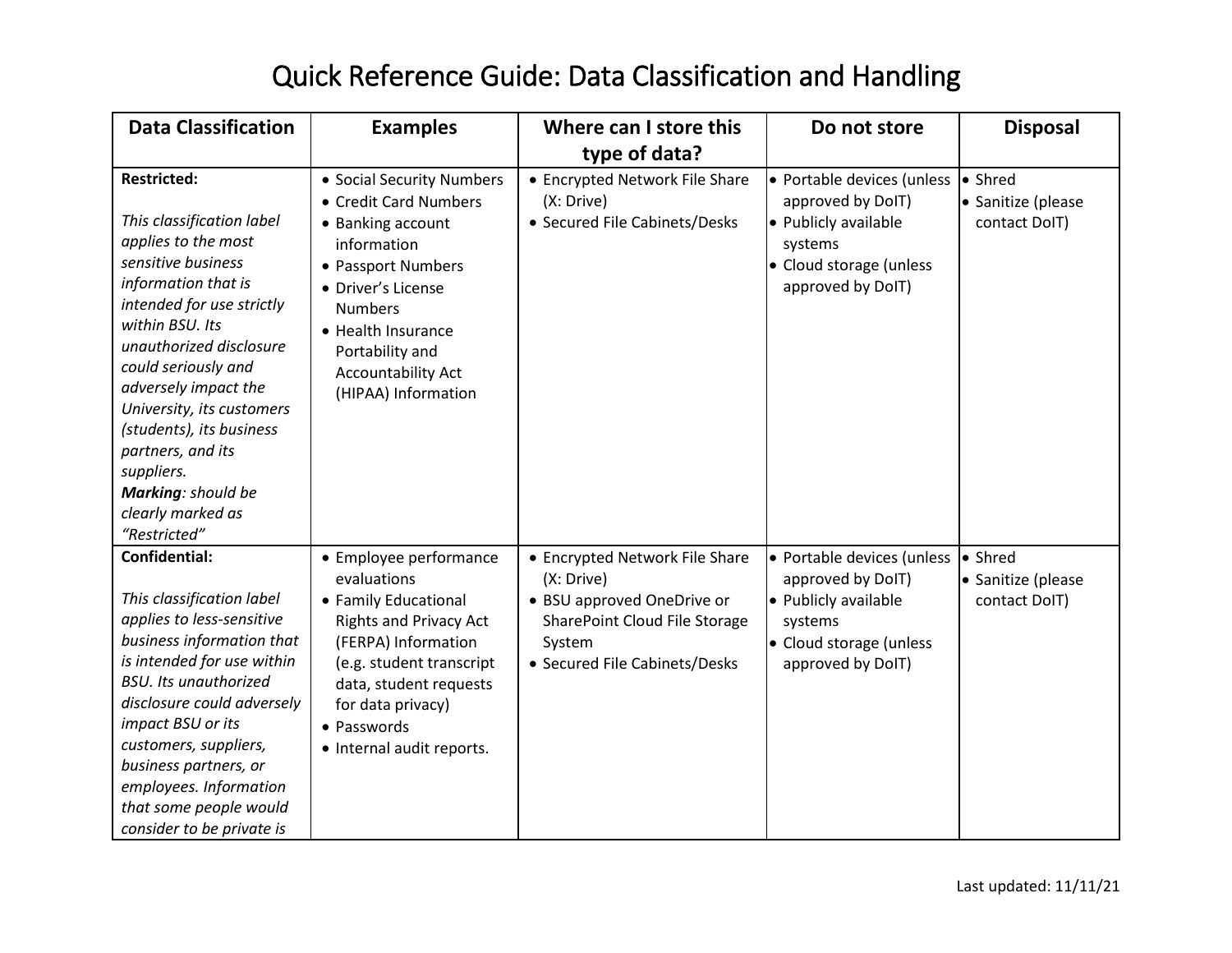## Quick Reference Guide: Data Classification and Handling

| <b>Data Classification</b>                                                                                                                                                                                                                                                                                                                                                                           | <b>Examples</b>                                                                                                                                                                                                                                   | Where can I store this                                                                                                                                 | Do not store                                                                                                                       | <b>Disposal</b>                                |
|------------------------------------------------------------------------------------------------------------------------------------------------------------------------------------------------------------------------------------------------------------------------------------------------------------------------------------------------------------------------------------------------------|---------------------------------------------------------------------------------------------------------------------------------------------------------------------------------------------------------------------------------------------------|--------------------------------------------------------------------------------------------------------------------------------------------------------|------------------------------------------------------------------------------------------------------------------------------------|------------------------------------------------|
|                                                                                                                                                                                                                                                                                                                                                                                                      |                                                                                                                                                                                                                                                   | type of data?                                                                                                                                          |                                                                                                                                    |                                                |
| <b>Restricted:</b><br>This classification label<br>applies to the most<br>sensitive business<br>information that is<br>intended for use strictly<br>within BSU. Its<br>unauthorized disclosure<br>could seriously and<br>adversely impact the<br>University, its customers<br>(students), its business<br>partners, and its<br>suppliers.<br>Marking: should be<br>clearly marked as<br>"Restricted" | • Social Security Numbers<br>• Credit Card Numbers<br>• Banking account<br>information<br>• Passport Numbers<br>• Driver's License<br><b>Numbers</b><br>• Health Insurance<br>Portability and<br><b>Accountability Act</b><br>(HIPAA) Information | • Encrypted Network File Share<br>(X: Drive)<br>• Secured File Cabinets/Desks                                                                          | • Portable devices (unless<br>approved by DoIT)<br>• Publicly available<br>systems<br>• Cloud storage (unless<br>approved by DoIT) | • Shred<br>• Sanitize (please<br>contact DoIT) |
| <b>Confidential:</b><br>This classification label<br>applies to less-sensitive<br>business information that<br>is intended for use within<br><b>BSU.</b> Its unauthorized<br>disclosure could adversely<br>impact BSU or its<br>customers, suppliers,<br>business partners, or<br>employees. Information<br>that some people would<br>consider to be private is                                      | • Employee performance<br>evaluations<br>• Family Educational<br><b>Rights and Privacy Act</b><br>(FERPA) Information<br>(e.g. student transcript<br>data, student requests<br>for data privacy)<br>• Passwords<br>• Internal audit reports.      | • Encrypted Network File Share<br>(X: Drive)<br>• BSU approved OneDrive or<br>SharePoint Cloud File Storage<br>System<br>• Secured File Cabinets/Desks | • Portable devices (unless<br>approved by DoIT)<br>• Publicly available<br>systems<br>• Cloud storage (unless<br>approved by DoIT) | • Shred<br>• Sanitize (please<br>contact DoIT) |